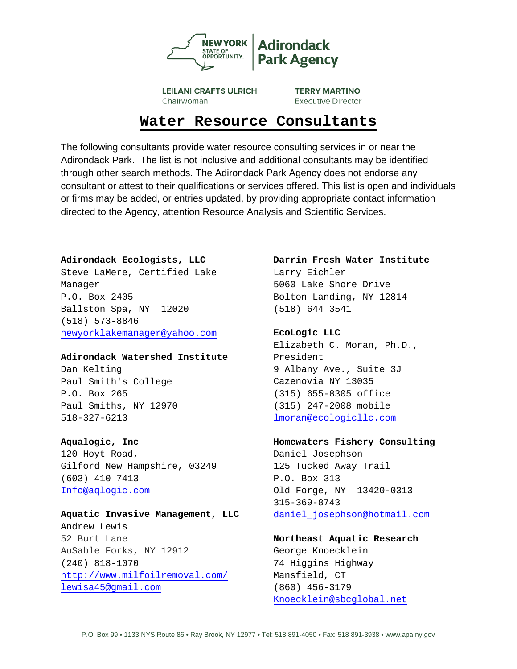

**LEILANI CRAFTS ULRICH** Chairwoman

**TERRY MARTINO Executive Director** 

# **Water Resource Consultants**

The following consultants provide water resource consulting services in or near the Adirondack Park. The list is not inclusive and additional consultants may be identified through other search methods. The Adirondack Park Agency does not endorse any consultant or attest to their qualifications or services offered. This list is open and individuals or firms may be added, or entries updated, by providing appropriate contact information directed to the Agency, attention Resource Analysis and Scientific Services.

## **Adirondack Ecologists, LLC**

Steve LaMere, Certified Lake Manager P.O. Box 2405 Ballston Spa, NY 12020 (518) 573-8846 [newyorklakemanager@yahoo.com](mailto:newyorklakemanager@yahoo.com)

#### **Adirondack Watershed Institute**

Dan Kelting Paul Smith's College P.O. Box 265 Paul Smiths, NY 12970 518-327-6213

# **Aqualogic, Inc**

120 Hoyt Road, Gilford New Hampshire, 03249 (603) 410 7413 [Info@aqlogic.com](mailto:Info@aqlogic.com)

# **Aquatic Invasive Management, LLC** Andrew Lewis 52 Burt Lane AuSable Forks, NY 12912 (240) 818-1070 <http://www.milfoilremoval.com/> [lewisa45@gmail.com](mailto:lewisa45@gmail.com)

# **Darrin Fresh Water Institute**  Larry Eichler

5060 Lake Shore Drive Bolton Landing, NY 12814 (518) 644 3541

# **EcoLogic LLC**

Elizabeth C. Moran, Ph.D., President 9 Albany Ave., Suite 3J Cazenovia NY 13035 (315) 655-8305 office (315) 247-2008 mobile [lmoran@ecologicllc.com](mailto:lmoran@ecologicllc.com)

#### **Homewaters Fishery Consulting**

Daniel Josephson 125 Tucked Away Trail P.O. Box 313 Old Forge, NY 13420-0313 315-369-8743 [daniel\\_josephson@hotmail.com](mailto:daniel_josephson@hotmail.com)

# **Northeast Aquatic Research**

George Knoecklein 74 Higgins Highway Mansfield, CT (860) 456-3179 [Knoecklein@sbcglobal.net](mailto:Knoecklein@sbcglobal.net)